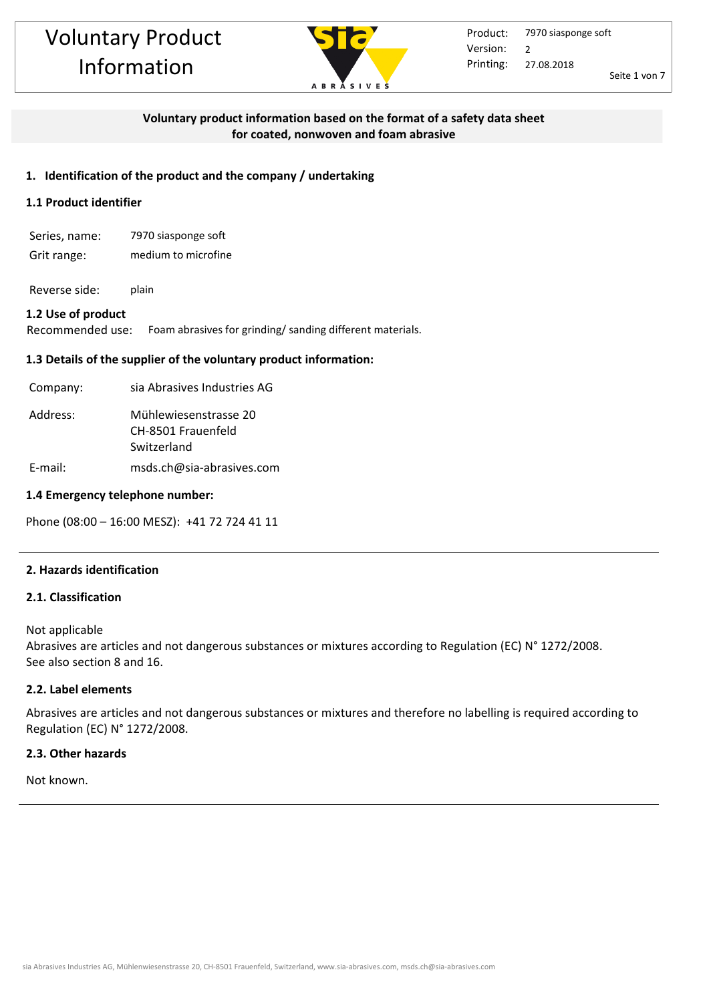

# **Voluntary product information based on the format of a safety data sheet for coated, nonwoven and foam abrasive**

# **1. Identification of the product and the company / undertaking**

# **1.1 Product identifier**

- Series, name: 7970 siasponge soft Grit range: medium to microfine
- Reverse side: plain

#### **1.2 Use of product**

Recommended use: Foam abrasives for grinding/ sanding different materials.

## **1.3 Details of the supplier of the voluntary product information:**

| Company: | sia Abrasives Industries AG                 |
|----------|---------------------------------------------|
| Address: | Mühlewiesenstrasse 20<br>CH-8501 Frauenfeld |
|          | Switzerland                                 |
| - 1      |                                             |

E-mail: msds.ch@sia-abrasives.com

#### **1.4 Emergency telephone number:**

Phone (08:00 – 16:00 MESZ): +41 72 724 41 11

## **2. Hazards identification**

## **2.1. Classification**

Not applicable

Abrasives are articles and not dangerous substances or mixtures according to Regulation (EC) N° 1272/2008. See also section 8 and 16.

## **2.2. Label elements**

Abrasives are articles and not dangerous substances or mixtures and therefore no labelling is required according to Regulation (EC) N° 1272/2008.

#### **2.3. Other hazards**

Not known.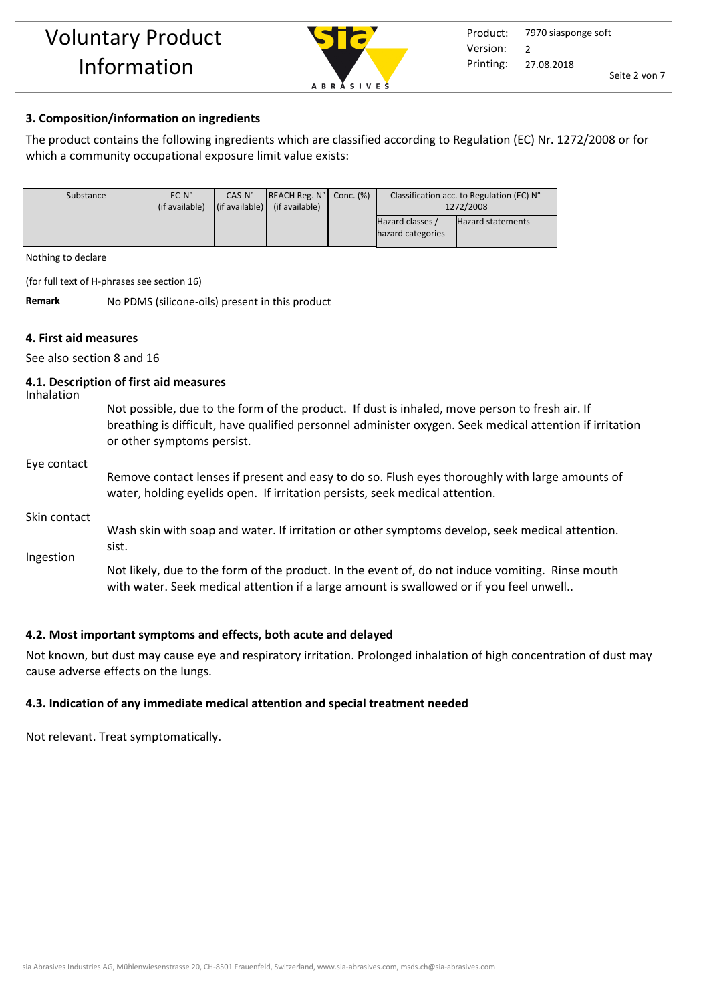

# **3. Composition/information on ingredients**

The product contains the following ingredients which are classified according to Regulation (EC) Nr. 1272/2008 or for which a community occupational exposure limit value exists:

| Substance | $EC-N^{\circ}$ | $CAS-N°$                       | $ REACH Reg. N^{\circ} $ Conc. $(\%)$ | Classification acc. to Regulation (EC) N° |                   |
|-----------|----------------|--------------------------------|---------------------------------------|-------------------------------------------|-------------------|
|           | (if available) | $\vert$ (if available) $\vert$ | (if available)                        | 1272/2008                                 |                   |
|           |                |                                |                                       | Hazard classes /<br>hazard categories     | Hazard statements |

Nothing to declare

(for full text of H-phrases see section 16)

**Remark** No PDMS (silicone-oils) present in this product

# **4. First aid measures**

See also section 8 and 16

# **4.1. Description of first aid measures**

Inhalation

Not possible, due to the form of the product. If dust is inhaled, move person to fresh air. If breathing is difficult, have qualified personnel administer oxygen. Seek medical attention if irritation or other symptoms persist.

## Eye contact

Remove contact lenses if present and easy to do so. Flush eyes thoroughly with large amounts of water, holding eyelids open. If irritation persists, seek medical attention.

## Skin contact

Ingestion Wash skin with soap and water. If irritation or other symptoms develop, seek medical attention. sist.

Not likely, due to the form of the product. In the event of, do not induce vomiting. Rinse mouth with water. Seek medical attention if a large amount is swallowed or if you feel unwell..

# **4.2. Most important symptoms and effects, both acute and delayed**

Not known, but dust may cause eye and respiratory irritation. Prolonged inhalation of high concentration of dust may cause adverse effects on the lungs.

# **4.3. Indication of any immediate medical attention and special treatment needed**

Not relevant. Treat symptomatically.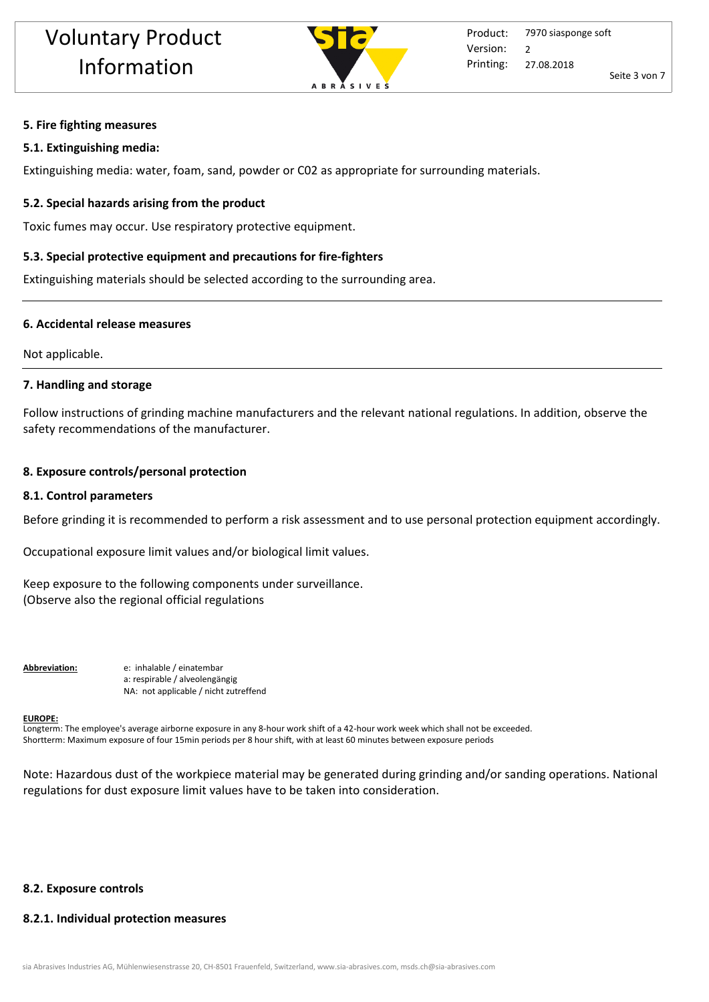

# **5. Fire fighting measures**

# **5.1. Extinguishing media:**

Extinguishing media: water, foam, sand, powder or C02 as appropriate for surrounding materials.

# **5.2. Special hazards arising from the product**

Toxic fumes may occur. Use respiratory protective equipment.

# **5.3. Special protective equipment and precautions for fire-fighters**

Extinguishing materials should be selected according to the surrounding area.

# **6. Accidental release measures**

Not applicable.

# **7. Handling and storage**

Follow instructions of grinding machine manufacturers and the relevant national regulations. In addition, observe the safety recommendations of the manufacturer.

## **8. Exposure controls/personal protection**

#### **8.1. Control parameters**

Before grinding it is recommended to perform a risk assessment and to use personal protection equipment accordingly.

Occupational exposure limit values and/or biological limit values.

Keep exposure to the following components under surveillance. (Observe also the regional official regulations

**Abbreviation:** e: inhalable / einatembar a: respirable / alveolengängig NA: not applicable / nicht zutreffend

#### **EUROPE:**

Longterm: The employee's average airborne exposure in any 8-hour work shift of a 42-hour work week which shall not be exceeded. Shortterm: Maximum exposure of four 15min periods per 8 hour shift, with at least 60 minutes between exposure periods

Note: Hazardous dust of the workpiece material may be generated during grinding and/or sanding operations. National regulations for dust exposure limit values have to be taken into consideration.

## **8.2. Exposure controls**

## **8.2.1. Individual protection measures**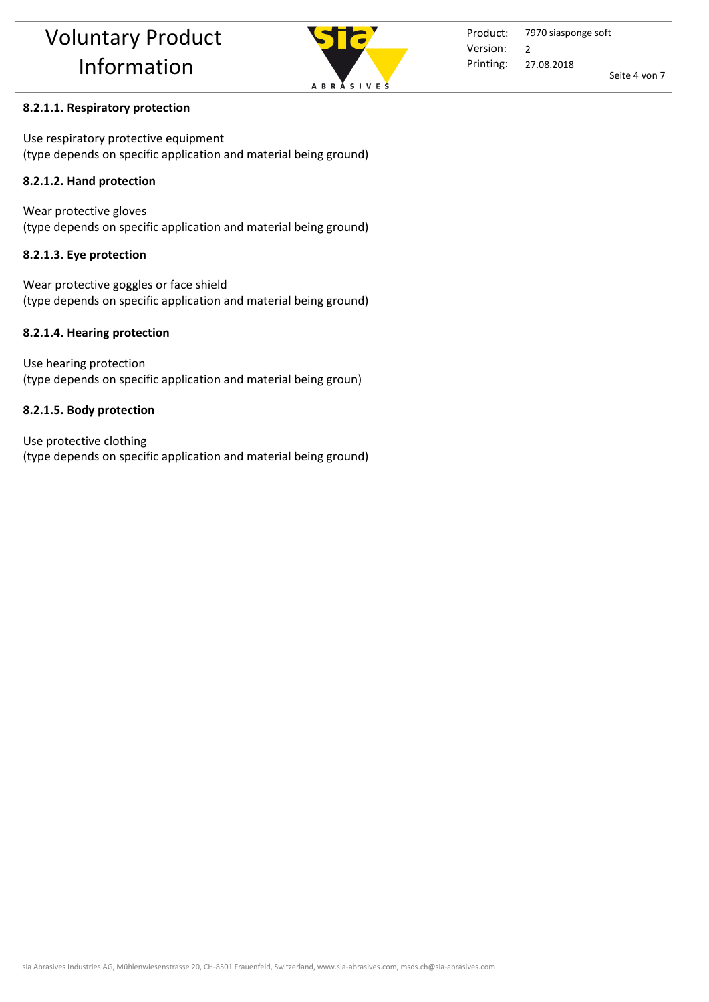

## **8.2.1.1. Respiratory protection**

Use respiratory protective equipment (type depends on specific application and material being ground)

## **8.2.1.2. Hand protection**

Wear protective gloves (type depends on specific application and material being ground)

## **8.2.1.3. Eye protection**

Wear protective goggles or face shield (type depends on specific application and material being ground)

## **8.2.1.4. Hearing protection**

Use hearing protection (type depends on specific application and material being groun)

## **8.2.1.5. Body protection**

Use protective clothing (type depends on specific application and material being ground)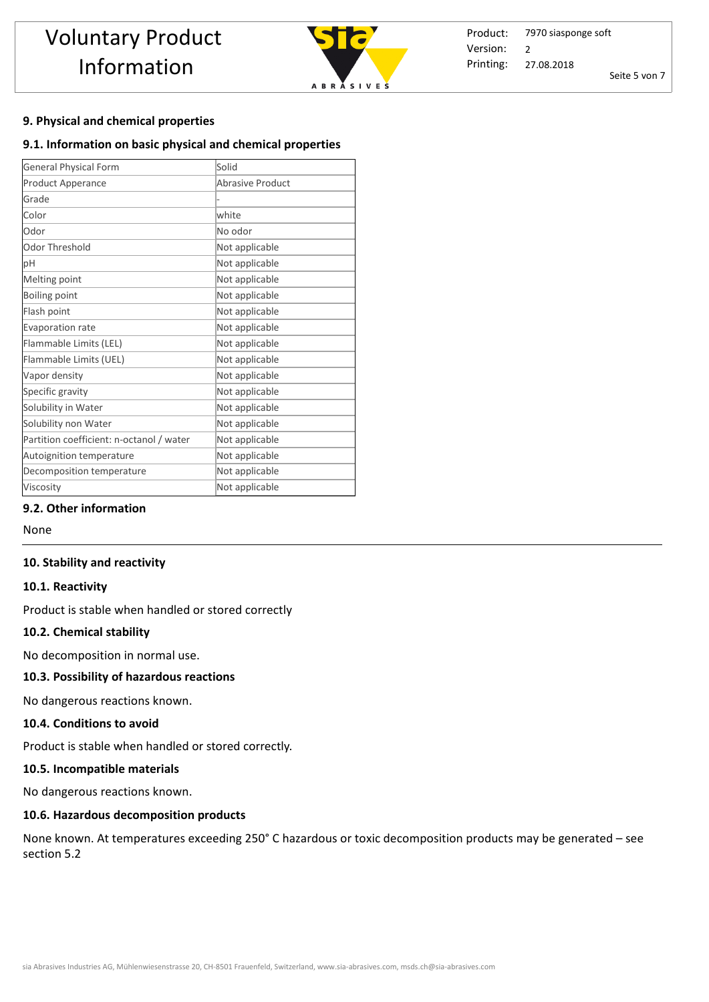

Product: Printing: 7970 siasponge soft 27.08.2018 Seite 5 von 7 Version: 2

#### **9. Physical and chemical properties**

#### **9.1. Information on basic physical and chemical properties**

| <b>General Physical Form</b>             | Solid                   |
|------------------------------------------|-------------------------|
| Product Apperance                        | <b>Abrasive Product</b> |
| Grade                                    |                         |
| Color                                    | white                   |
| Odor                                     | No odor                 |
| Odor Threshold                           | Not applicable          |
| рH                                       | Not applicable          |
| Melting point                            | Not applicable          |
| <b>Boiling point</b>                     | Not applicable          |
| Flash point                              | Not applicable          |
| Evaporation rate                         | Not applicable          |
| Flammable Limits (LEL)                   | Not applicable          |
| Flammable Limits (UEL)                   | Not applicable          |
| Vapor density                            | Not applicable          |
| Specific gravity                         | Not applicable          |
| Solubility in Water                      | Not applicable          |
| Solubility non Water                     | Not applicable          |
| Partition coefficient: n-octanol / water | Not applicable          |
| Autoignition temperature                 | Not applicable          |
| Decomposition temperature                | Not applicable          |
| Viscosity                                | Not applicable          |

## **9.2. Other information**

None

#### **10. Stability and reactivity**

#### **10.1. Reactivity**

Product is stable when handled or stored correctly

#### **10.2. Chemical stability**

No decomposition in normal use.

#### **10.3. Possibility of hazardous reactions**

No dangerous reactions known.

#### **10.4. Conditions to avoid**

Product is stable when handled or stored correctly. 

#### **10.5. Incompatible materials**

No dangerous reactions known.

#### **10.6. Hazardous decomposition products**

None known. At temperatures exceeding 250° C hazardous or toxic decomposition products may be generated – see section 5.2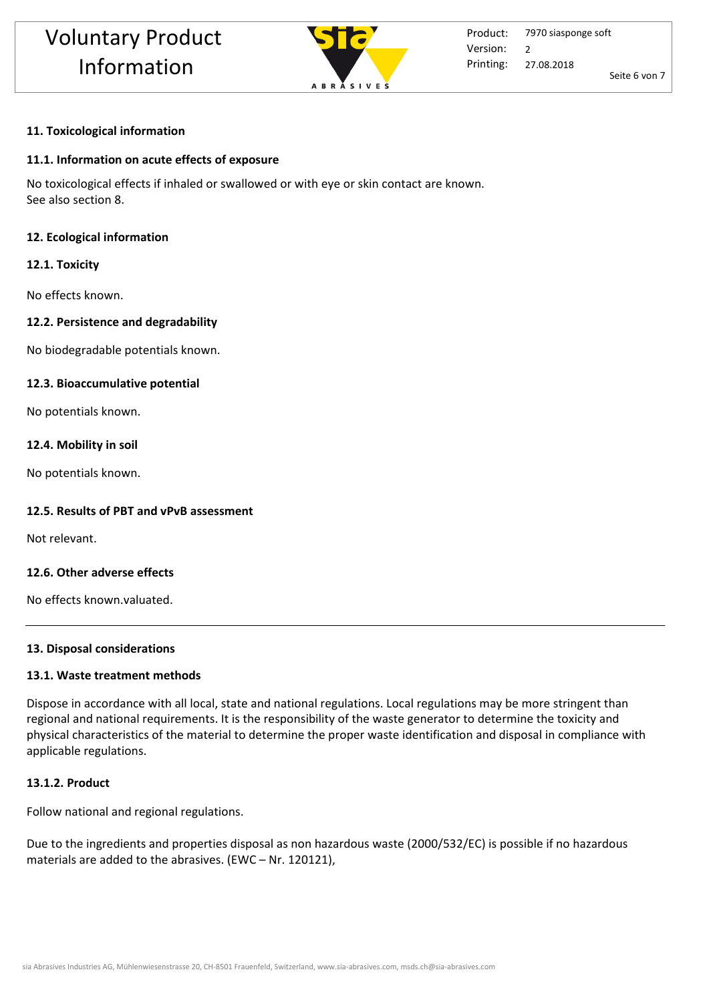

**11. Toxicological information**

## **11.1. Information on acute effects of exposure**

No toxicological effects if inhaled or swallowed or with eye or skin contact are known. See also section 8.

## **12. Ecological information**

## **12.1. Toxicity**

No effects known.

## **12.2. Persistence and degradability**

No biodegradable potentials known.

#### **12.3. Bioaccumulative potential**

No potentials known.

## **12.4. Mobility in soil**

No potentials known.

## **12.5. Results of PBT and vPvB assessment**

Not relevant.

#### **12.6. Other adverse effects**

No effects known.valuated.

#### **13. Disposal considerations**

## **13.1. Waste treatment methods**

Dispose in accordance with all local, state and national regulations. Local regulations may be more stringent than regional and national requirements. It is the responsibility of the waste generator to determine the toxicity and physical characteristics of the material to determine the proper waste identification and disposal in compliance with applicable regulations.

## **13.1.2. Product**

Follow national and regional regulations.

Due to the ingredients and properties disposal as non hazardous waste (2000/532/EC) is possible if no hazardous materials are added to the abrasives. (EWC – Nr. 120121),